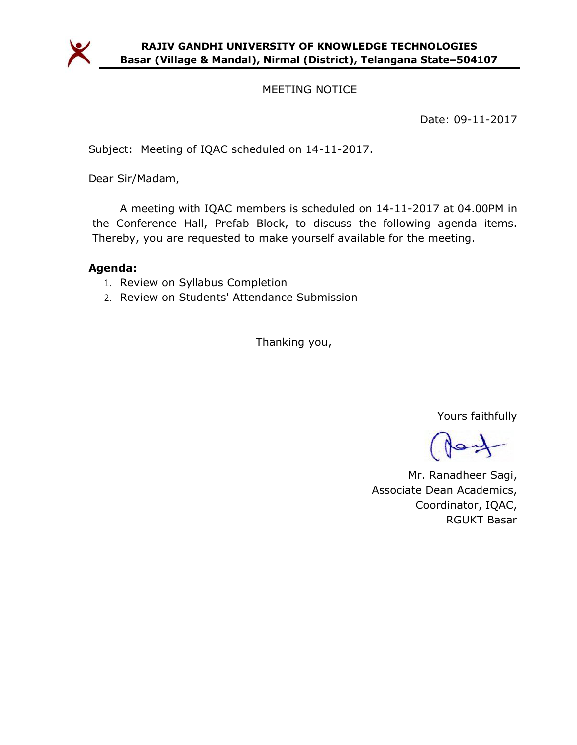

### MEETING NOTICE

Date: 09-11-2017

Subject: Meeting of IQAC scheduled on 14-11-2017.

Dear Sir/Madam,

A meeting with IQAC members is scheduled on 14-11-2017 at 04.00PM in the Conference Hall, Prefab Block, to discuss the following agenda items. Thereby, you are requested to make yourself available for the meeting.

#### Agenda:

- 1. Review on Syllabus Completion
- 2. Review on Students' Attendance Submission

Thanking you,

Yours faithfully

Mr. Ranadheer Sagi, Associate Dean Academics, Coordinator, IQAC, RGUKT Basar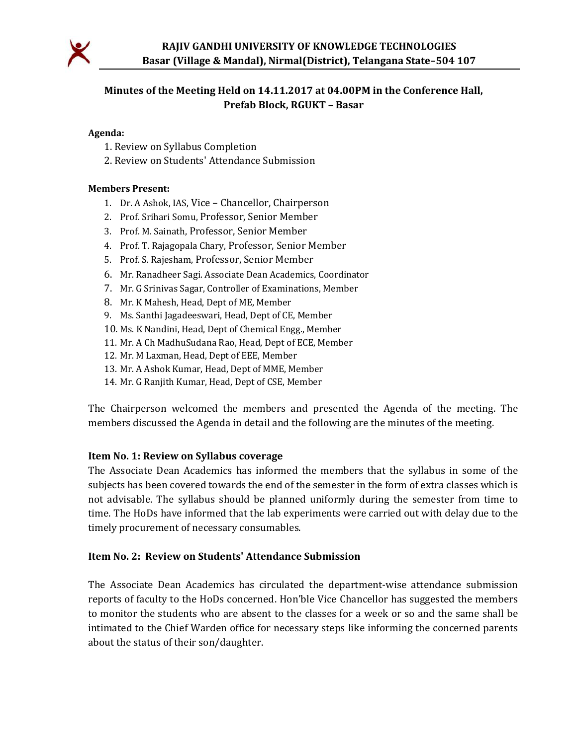

## Minutes of the Meeting Held on 14.11.2017 at 04.00PM in the Conference Hall, Prefab Block, RGUKT – Basar

#### Agenda:

- 1. Review on Syllabus Completion
- 2. Review on Students' Attendance Submission

#### Members Present:

- 1. Dr. A Ashok, IAS, Vice Chancellor, Chairperson
- 2. Prof. Srihari Somu, Professor, Senior Member
- 3. Prof. M. Sainath, Professor, Senior Member
- 4. Prof. T. Rajagopala Chary, Professor, Senior Member
- 5. Prof. S. Rajesham, Professor, Senior Member
- 6. Mr. Ranadheer Sagi. Associate Dean Academics, Coordinator
- 7. Mr. G Srinivas Sagar, Controller of Examinations, Member
- 8. Mr. K Mahesh, Head, Dept of ME, Member
- 9. Ms. Santhi Jagadeeswari, Head, Dept of CE, Member
- 10. Ms. K Nandini, Head, Dept of Chemical Engg., Member
- 11. Mr. A Ch MadhuSudana Rao, Head, Dept of ECE, Member
- 12. Mr. M Laxman, Head, Dept of EEE, Member
- 13. Mr. A Ashok Kumar, Head, Dept of MME, Member
- 14. Mr. G Ranjith Kumar, Head, Dept of CSE, Member

The Chairperson welcomed the members and presented the Agenda of the meeting. The members discussed the Agenda in detail and the following are the minutes of the meeting.

#### Item No. 1: Review on Syllabus coverage

The Associate Dean Academics has informed the members that the syllabus in some of the subjects has been covered towards the end of the semester in the form of extra classes which is not advisable. The syllabus should be planned uniformly during the semester from time to time. The HoDs have informed that the lab experiments were carried out with delay due to the timely procurement of necessary consumables.

#### Item No. 2: Review on Students' Attendance Submission

The Associate Dean Academics has circulated the department-wise attendance submission reports of faculty to the HoDs concerned. Hon'ble Vice Chancellor has suggested the members to monitor the students who are absent to the classes for a week or so and the same shall be intimated to the Chief Warden office for necessary steps like informing the concerned parents about the status of their son/daughter.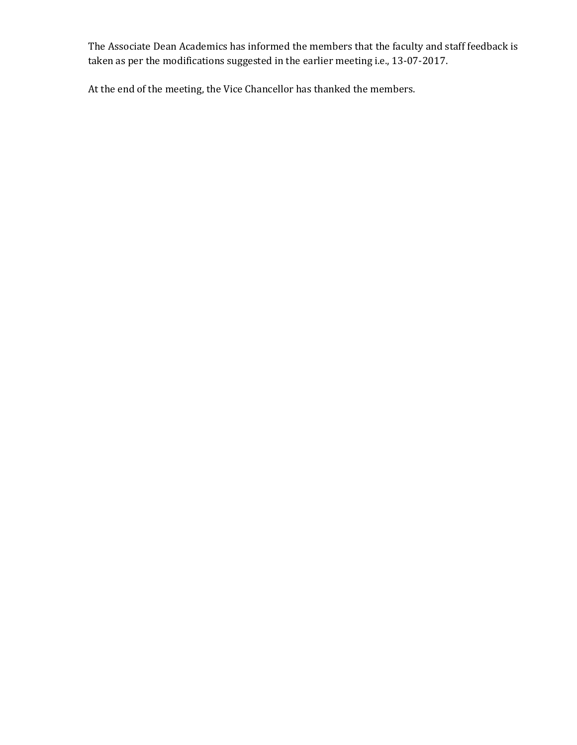The Associate Dean Academics has informed the members that the faculty and staff feedback is taken as per the modifications suggested in the earlier meeting i.e., 13-07-2017.

At the end of the meeting, the Vice Chancellor has thanked the members.